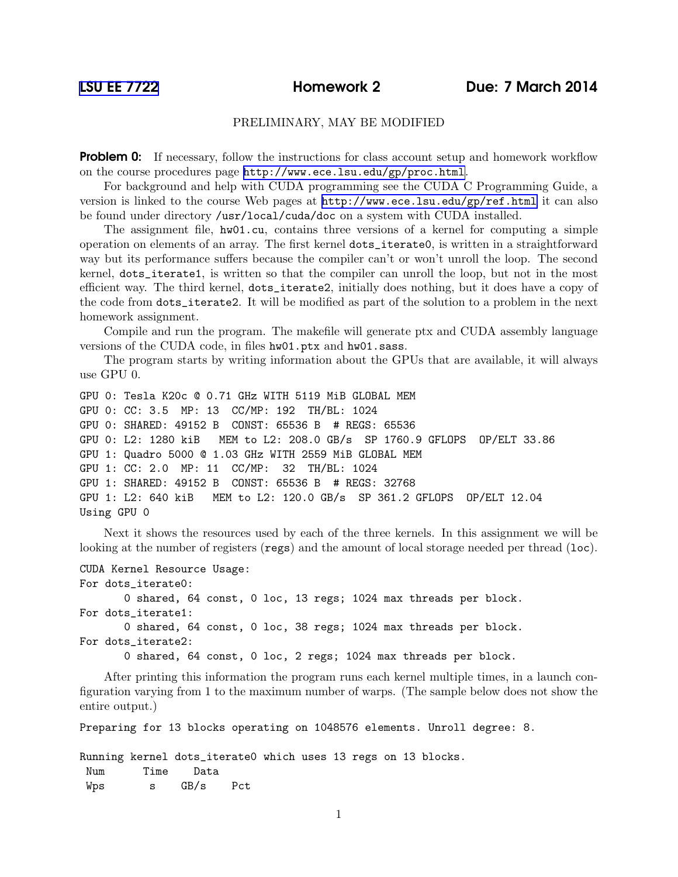## PRELIMINARY, MAY BE MODIFIED

**Problem 0:** If necessary, follow the instructions for class account setup and homework workflow on the course procedures page <http://www.ece.lsu.edu/gp/proc.html>.

For background and help with CUDA programming see the CUDA C Programming Guide, a version is linked to the course Web pages at <http://www.ece.lsu.edu/gp/ref.html> it can also be found under directory /usr/local/cuda/doc on a system with CUDA installed.

The assignment file,  $hw01.cu$ , contains three versions of a kernel for computing a simple operation on elements of an array. The first kernel dots\_iterate0, is written in a straightforward way but its performance suffers because the compiler can't or won't unroll the loop. The second kernel, dots\_iterate1, is written so that the compiler can unroll the loop, but not in the most efficient way. The third kernel, dots\_iterate2, initially does nothing, but it does have a copy of the code from dots\_iterate2. It will be modified as part of the solution to a problem in the next homework assignment.

Compile and run the program. The makefile will generate ptx and CUDA assembly language versions of the CUDA code, in files hw01.ptx and hw01.sass.

The program starts by writing information about the GPUs that are available, it will always use GPU 0.

```
GPU 0: Tesla K20c @ 0.71 GHz WITH 5119 MiB GLOBAL MEM
GPU 0: CC: 3.5 MP: 13 CC/MP: 192 TH/BL: 1024
GPU 0: SHARED: 49152 B CONST: 65536 B # REGS: 65536
GPU 0: L2: 1280 kiB MEM to L2: 208.0 GB/s SP 1760.9 GFLOPS OP/ELT 33.86
GPU 1: Quadro 5000 @ 1.03 GHz WITH 2559 MiB GLOBAL MEM
GPU 1: CC: 2.0 MP: 11 CC/MP: 32 TH/BL: 1024
GPU 1: SHARED: 49152 B CONST: 65536 B # REGS: 32768
GPU 1: L2: 640 kiB MEM to L2: 120.0 GB/s SP 361.2 GFLOPS OP/ELT 12.04
Using GPU 0
```
Next it shows the resources used by each of the three kernels. In this assignment we will be looking at the number of registers (regs) and the amount of local storage needed per thread (loc).

```
CUDA Kernel Resource Usage:
For dots_iterate0:
       0 shared, 64 const, 0 loc, 13 regs; 1024 max threads per block.
For dots_iterate1:
       0 shared, 64 const, 0 loc, 38 regs; 1024 max threads per block.
```
For dots\_iterate2:

0 shared, 64 const, 0 loc, 2 regs; 1024 max threads per block.

After printing this information the program runs each kernel multiple times, in a launch configuration varying from 1 to the maximum number of warps. (The sample below does not show the entire output.)

Preparing for 13 blocks operating on 1048576 elements. Unroll degree: 8.

Running kernel dots\_iterate0 which uses 13 regs on 13 blocks. Num Time Data Wps s GB/s Pct